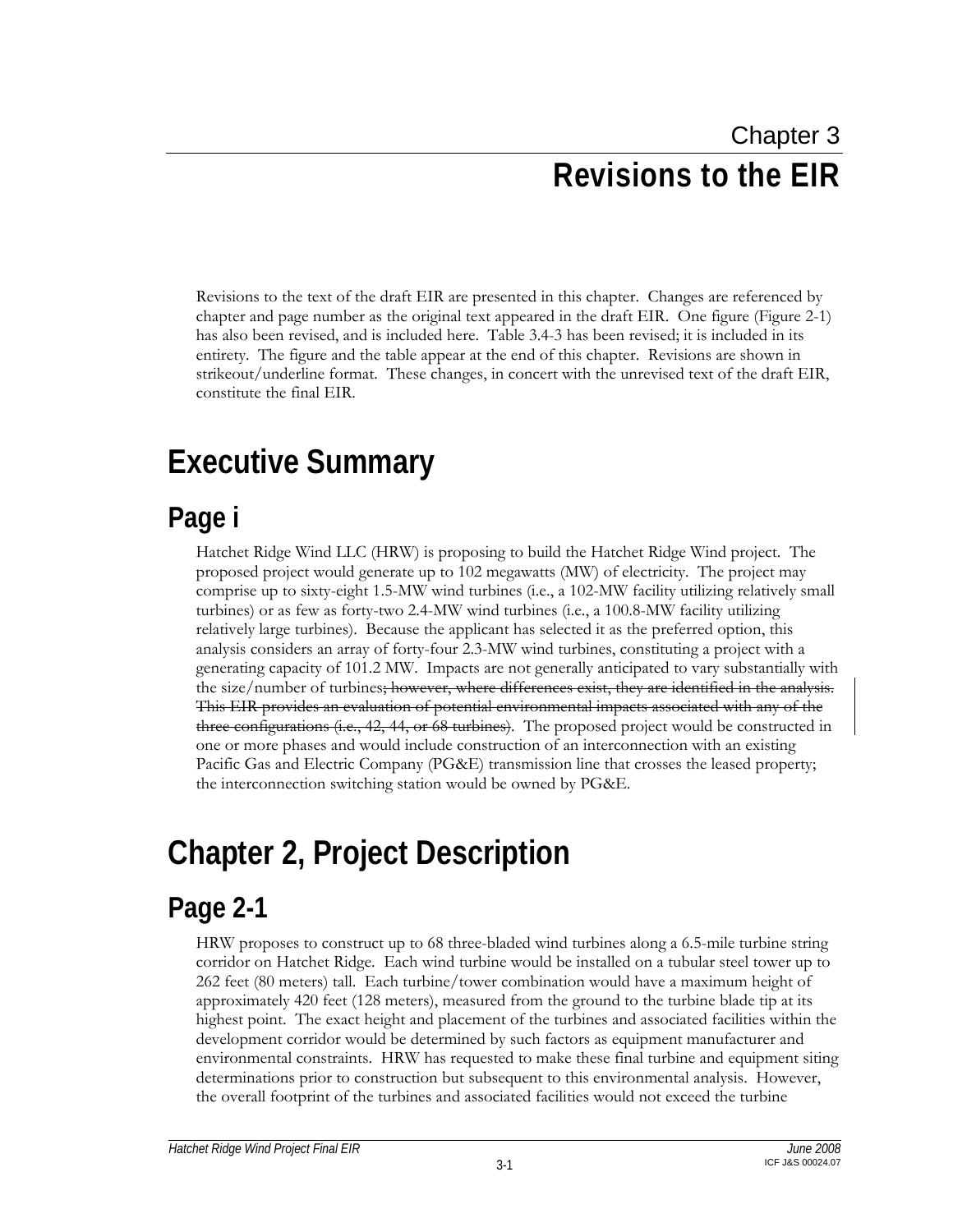# Chapter 3 **Revisions to the EIR**

Revisions to the text of the draft EIR are presented in this chapter. Changes are referenced by chapter and page number as the original text appeared in the draft EIR. One figure (Figure 2-1) has also been revised, and is included here. Table 3.4-3 has been revised; it is included in its entirety. The figure and the table appear at the end of this chapter. Revisions are shown in strikeout/underline format. These changes, in concert with the unrevised text of the draft EIR, constitute the final EIR.

# **Executive Summary**

### **Page i**

Hatchet Ridge Wind LLC (HRW) is proposing to build the Hatchet Ridge Wind project. The proposed project would generate up to 102 megawatts (MW) of electricity. The project may comprise up to sixty-eight 1.5-MW wind turbines (i.e., a 102-MW facility utilizing relatively small turbines) or as few as forty-two 2.4-MW wind turbines (i.e., a 100.8-MW facility utilizing relatively large turbines). Because the applicant has selected it as the preferred option, this analysis considers an array of forty-four 2.3-MW wind turbines, constituting a project with a generating capacity of 101.2 MW. Impacts are not generally anticipated to vary substantially with the size/number of turbines; however, where differences exist, they are identified in the analysis. This EIR provides an evaluation of potential environmental impacts associated with any of the three configurations (i.e., 42, 44, or 68 turbines). The proposed project would be constructed in one or more phases and would include construction of an interconnection with an existing Pacific Gas and Electric Company (PG&E) transmission line that crosses the leased property; the interconnection switching station would be owned by PG&E.

# **Chapter 2, Project Description**

## **Page 2-1**

HRW proposes to construct up to 68 three-bladed wind turbines along a 6.5-mile turbine string corridor on Hatchet Ridge. Each wind turbine would be installed on a tubular steel tower up to 262 feet (80 meters) tall. Each turbine/tower combination would have a maximum height of approximately 420 feet (128 meters), measured from the ground to the turbine blade tip at its highest point. The exact height and placement of the turbines and associated facilities within the development corridor would be determined by such factors as equipment manufacturer and environmental constraints. HRW has requested to make these final turbine and equipment siting determinations prior to construction but subsequent to this environmental analysis. However, the overall footprint of the turbines and associated facilities would not exceed the turbine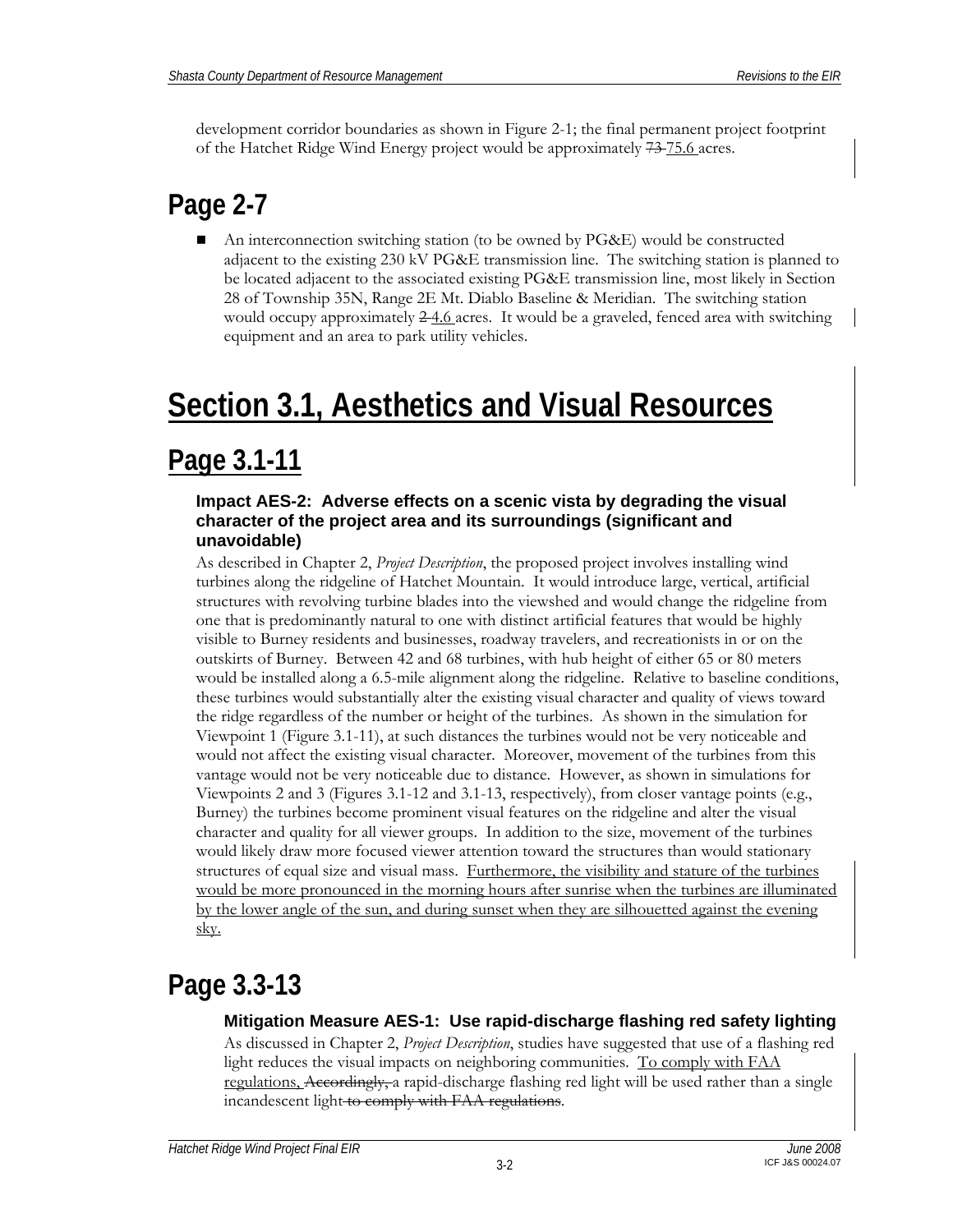development corridor boundaries as shown in Figure 2-1; the final permanent project footprint of the Hatchet Ridge Wind Energy project would be approximately 73 75.6 acres.

## **Page 2-7**

 An interconnection switching station (to be owned by PG&E) would be constructed adjacent to the existing 230 kV PG&E transmission line. The switching station is planned to be located adjacent to the associated existing PG&E transmission line, most likely in Section 28 of Township 35N, Range 2E Mt. Diablo Baseline & Meridian. The switching station would occupy approximately  $2-4.6$  acres. It would be a graveled, fenced area with switching equipment and an area to park utility vehicles.

# **Section 3.1, Aesthetics and Visual Resources**

### **Page 3.1-11**

### **Impact AES-2: Adverse effects on a scenic vista by degrading the visual character of the project area and its surroundings (significant and unavoidable)**

As described in Chapter 2, *Project Description*, the proposed project involves installing wind turbines along the ridgeline of Hatchet Mountain. It would introduce large, vertical, artificial structures with revolving turbine blades into the viewshed and would change the ridgeline from one that is predominantly natural to one with distinct artificial features that would be highly visible to Burney residents and businesses, roadway travelers, and recreationists in or on the outskirts of Burney. Between 42 and 68 turbines, with hub height of either 65 or 80 meters would be installed along a 6.5-mile alignment along the ridgeline. Relative to baseline conditions, these turbines would substantially alter the existing visual character and quality of views toward the ridge regardless of the number or height of the turbines. As shown in the simulation for Viewpoint 1 (Figure 3.1-11), at such distances the turbines would not be very noticeable and would not affect the existing visual character. Moreover, movement of the turbines from this vantage would not be very noticeable due to distance. However, as shown in simulations for Viewpoints 2 and 3 (Figures 3.1-12 and 3.1-13, respectively), from closer vantage points (e.g., Burney) the turbines become prominent visual features on the ridgeline and alter the visual character and quality for all viewer groups. In addition to the size, movement of the turbines would likely draw more focused viewer attention toward the structures than would stationary structures of equal size and visual mass. Furthermore, the visibility and stature of the turbines would be more pronounced in the morning hours after sunrise when the turbines are illuminated by the lower angle of the sun, and during sunset when they are silhouetted against the evening sky.

## **Page 3.3-13**

### **Mitigation Measure AES-1: Use rapid-discharge flashing red safety lighting**

As discussed in Chapter 2, *Project Description*, studies have suggested that use of a flashing red light reduces the visual impacts on neighboring communities. To comply with FAA regulations, Accordingly, a rapid-discharge flashing red light will be used rather than a single incandescent light to comply with FAA regulations.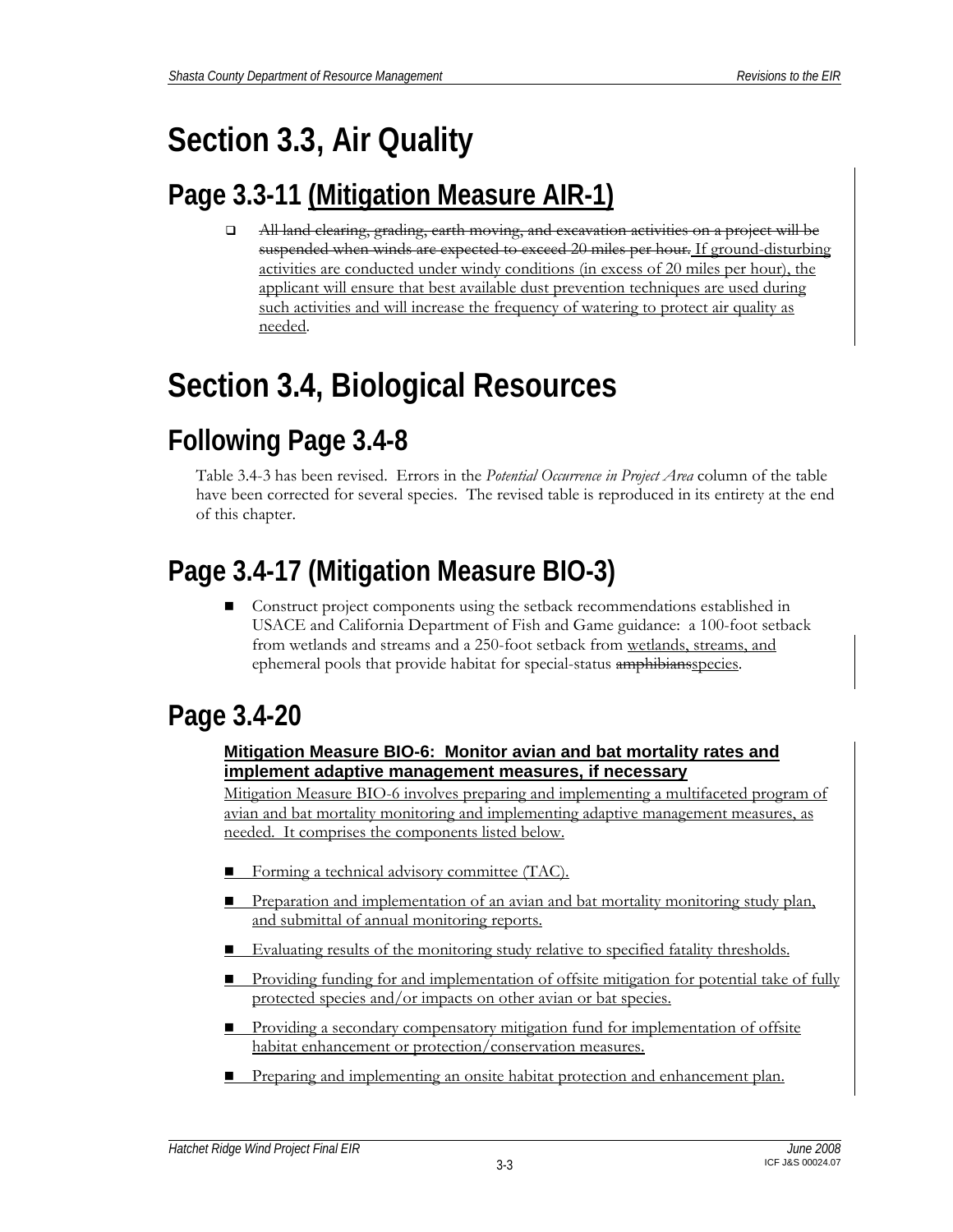# **Section 3.3, Air Quality**

## **Page 3.3-11 (Mitigation Measure AIR-1)**

 All land clearing, grading, earth moving, and excavation activities on a project will be suspended when winds are expected to exceed 20 miles per hour. If ground-disturbing activities are conducted under windy conditions (in excess of 20 miles per hour), the applicant will ensure that best available dust prevention techniques are used during such activities and will increase the frequency of watering to protect air quality as needed.

# **Section 3.4, Biological Resources**

## **Following Page 3.4-8**

Table 3.4-3 has been revised. Errors in the *Potential Occurrence in Project Area* column of the table have been corrected for several species. The revised table is reproduced in its entirety at the end of this chapter.

## **Page 3.4-17 (Mitigation Measure BIO-3)**

 Construct project components using the setback recommendations established in USACE and California Department of Fish and Game guidance: a 100-foot setback from wetlands and streams and a 250-foot setback from wetlands, streams, and ephemeral pools that provide habitat for special-status amphibiansspecies.

## **Page 3.4-20**

### **Mitigation Measure BIO-6: Monitor avian and bat mortality rates and implement adaptive management measures, if necessary**

Mitigation Measure BIO-6 involves preparing and implementing a multifaceted program of avian and bat mortality monitoring and implementing adaptive management measures, as needed. It comprises the components listed below.

- Forming a technical advisory committee (TAC).
- **Preparation and implementation of an avian and bat mortality monitoring study plan,** and submittal of annual monitoring reports.
- Evaluating results of the monitoring study relative to specified fatality thresholds.
- **Providing funding for and implementation of offsite mitigation for potential take of fully** protected species and/or impacts on other avian or bat species.
- **Providing a secondary compensatory mitigation fund for implementation of offsite** habitat enhancement or protection/conservation measures.
- **Preparing and implementing an onsite habitat protection and enhancement plan.**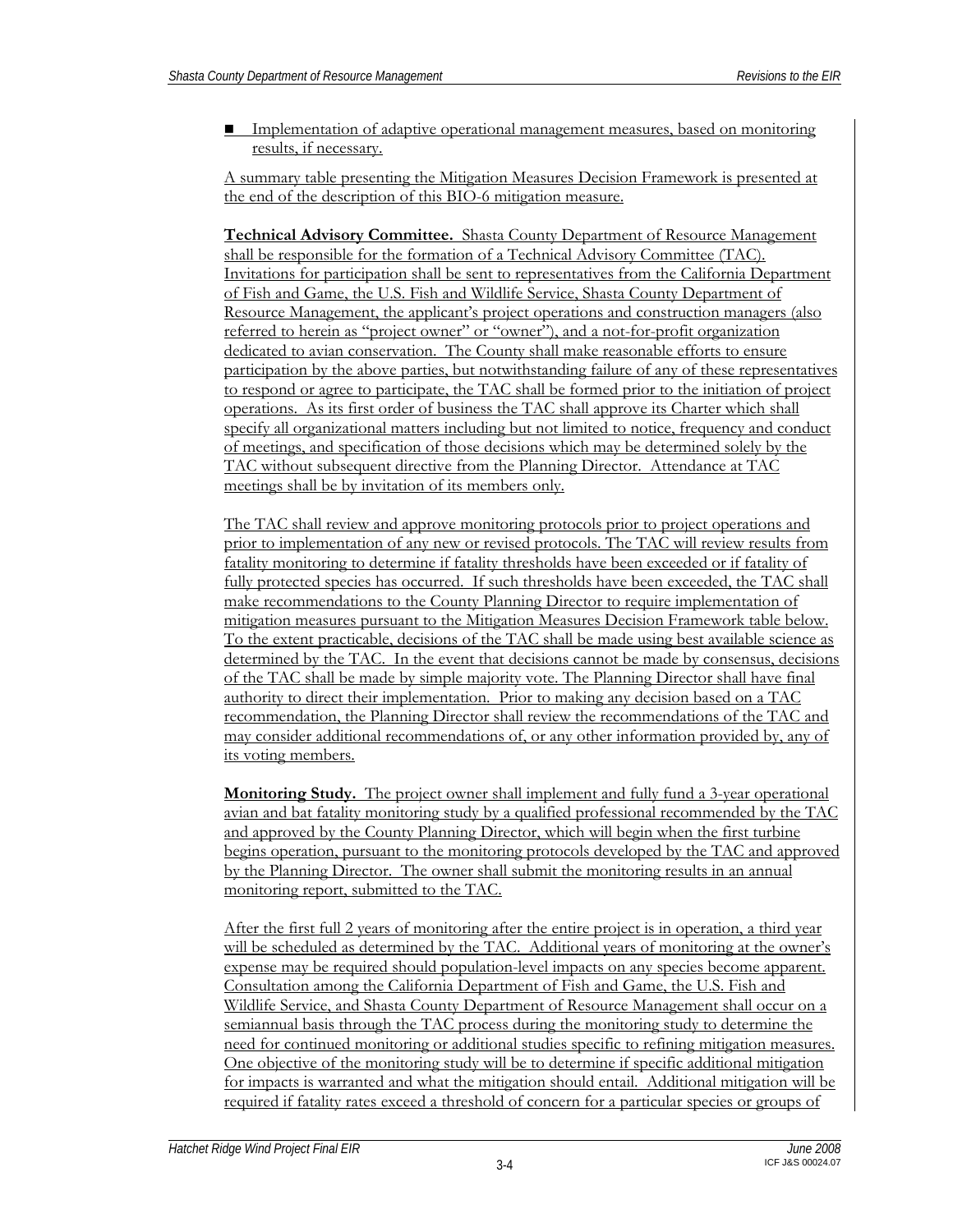**I** Implementation of adaptive operational management measures, based on monitoring results, if necessary.

A summary table presenting the Mitigation Measures Decision Framework is presented at the end of the description of this BIO-6 mitigation measure.

**Technical Advisory Committee.** Shasta County Department of Resource Management shall be responsible for the formation of a Technical Advisory Committee (TAC). Invitations for participation shall be sent to representatives from the California Department of Fish and Game, the U.S. Fish and Wildlife Service, Shasta County Department of Resource Management, the applicant's project operations and construction managers (also referred to herein as "project owner" or "owner"), and a not-for-profit organization dedicated to avian conservation. The County shall make reasonable efforts to ensure participation by the above parties, but notwithstanding failure of any of these representatives to respond or agree to participate, the TAC shall be formed prior to the initiation of project operations. As its first order of business the TAC shall approve its Charter which shall specify all organizational matters including but not limited to notice, frequency and conduct of meetings, and specification of those decisions which may be determined solely by the TAC without subsequent directive from the Planning Director. Attendance at TAC meetings shall be by invitation of its members only.

The TAC shall review and approve monitoring protocols prior to project operations and prior to implementation of any new or revised protocols. The TAC will review results from fatality monitoring to determine if fatality thresholds have been exceeded or if fatality of fully protected species has occurred. If such thresholds have been exceeded, the TAC shall make recommendations to the County Planning Director to require implementation of mitigation measures pursuant to the Mitigation Measures Decision Framework table below. To the extent practicable, decisions of the TAC shall be made using best available science as determined by the TAC. In the event that decisions cannot be made by consensus, decisions of the TAC shall be made by simple majority vote. The Planning Director shall have final authority to direct their implementation. Prior to making any decision based on a TAC recommendation, the Planning Director shall review the recommendations of the TAC and may consider additional recommendations of, or any other information provided by, any of its voting members.

**Monitoring Study.** The project owner shall implement and fully fund a 3-year operational avian and bat fatality monitoring study by a qualified professional recommended by the TAC and approved by the County Planning Director, which will begin when the first turbine begins operation, pursuant to the monitoring protocols developed by the TAC and approved by the Planning Director. The owner shall submit the monitoring results in an annual monitoring report, submitted to the TAC.

After the first full 2 years of monitoring after the entire project is in operation, a third year will be scheduled as determined by the TAC. Additional years of monitoring at the owner's expense may be required should population-level impacts on any species become apparent. Consultation among the California Department of Fish and Game, the U.S. Fish and Wildlife Service, and Shasta County Department of Resource Management shall occur on a semiannual basis through the TAC process during the monitoring study to determine the need for continued monitoring or additional studies specific to refining mitigation measures. One objective of the monitoring study will be to determine if specific additional mitigation for impacts is warranted and what the mitigation should entail. Additional mitigation will be required if fatality rates exceed a threshold of concern for a particular species or groups of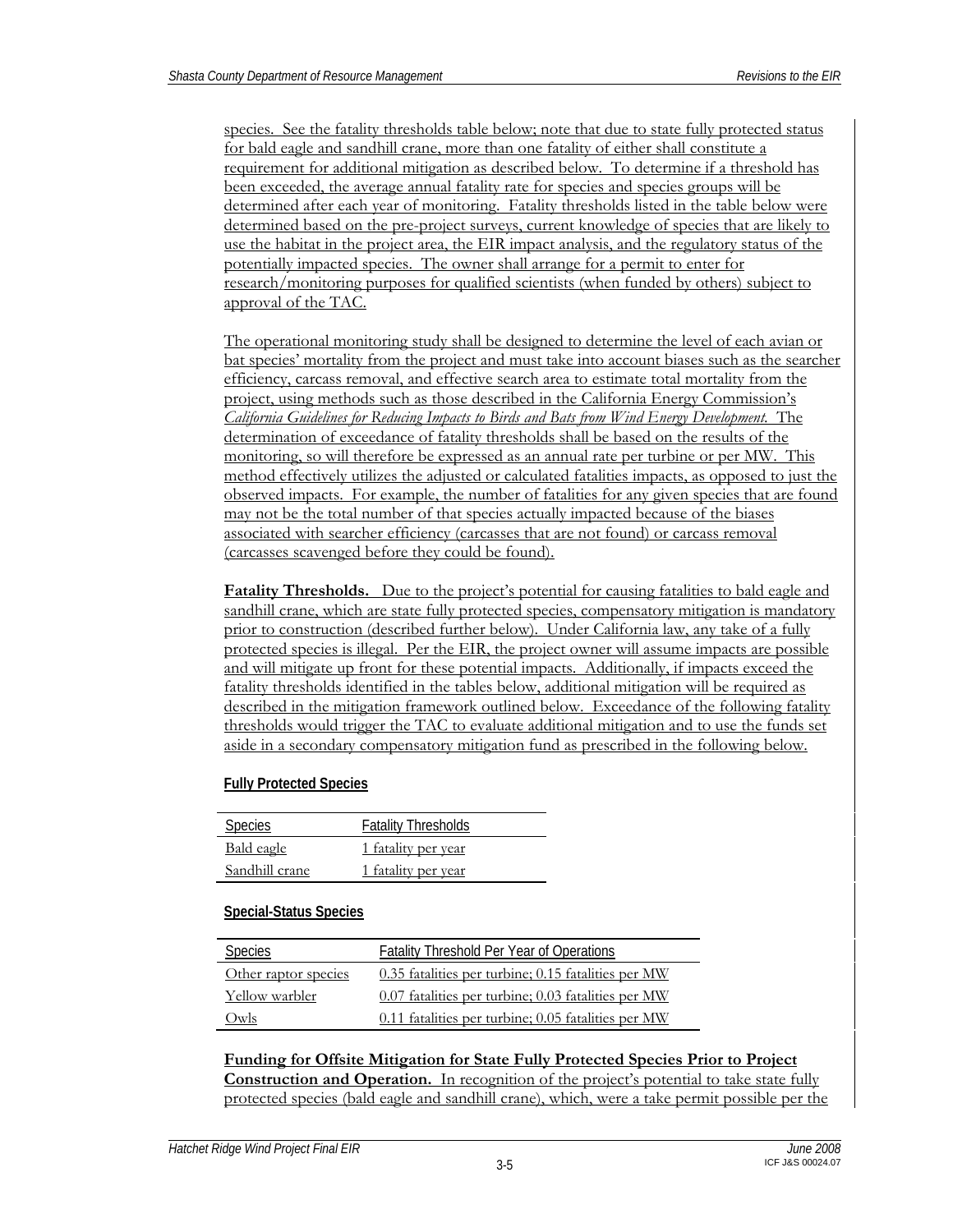species. See the fatality thresholds table below; note that due to state fully protected status for bald eagle and sandhill crane, more than one fatality of either shall constitute a requirement for additional mitigation as described below. To determine if a threshold has been exceeded, the average annual fatality rate for species and species groups will be determined after each year of monitoring. Fatality thresholds listed in the table below were determined based on the pre-project surveys, current knowledge of species that are likely to use the habitat in the project area, the EIR impact analysis, and the regulatory status of the potentially impacted species. The owner shall arrange for a permit to enter for research/monitoring purposes for qualified scientists (when funded by others) subject to approval of the TAC.

The operational monitoring study shall be designed to determine the level of each avian or bat species' mortality from the project and must take into account biases such as the searcher efficiency, carcass removal, and effective search area to estimate total mortality from the project, using methods such as those described in the California Energy Commission's *California Guidelines for Reducing Impacts to Birds and Bats from Wind Energy Development*. The determination of exceedance of fatality thresholds shall be based on the results of the monitoring, so will therefore be expressed as an annual rate per turbine or per MW. This method effectively utilizes the adjusted or calculated fatalities impacts, as opposed to just the observed impacts. For example, the number of fatalities for any given species that are found may not be the total number of that species actually impacted because of the biases associated with searcher efficiency (carcasses that are not found) or carcass removal (carcasses scavenged before they could be found).

**Fatality Thresholds.** Due to the project's potential for causing fatalities to bald eagle and sandhill crane, which are state fully protected species, compensatory mitigation is mandatory prior to construction (described further below). Under California law, any take of a fully protected species is illegal. Per the EIR, the project owner will assume impacts are possible and will mitigate up front for these potential impacts. Additionally, if impacts exceed the fatality thresholds identified in the tables below, additional mitigation will be required as described in the mitigation framework outlined below. Exceedance of the following fatality thresholds would trigger the TAC to evaluate additional mitigation and to use the funds set aside in a secondary compensatory mitigation fund as prescribed in the following below.

#### **Fully Protected Species**

| <b>Species</b>    | <b>Fatality Thresholds</b> |
|-------------------|----------------------------|
| <b>Bald</b> eagle | 1 fatality per year        |
| Sandhill crane    | 1 fatality per year        |

#### **Special-Status Species**

| Species              | Fatality Threshold Per Year of Operations           |
|----------------------|-----------------------------------------------------|
| Other raptor species | 0.35 fatalities per turbine; 0.15 fatalities per MW |
| Yellow warbler       | 0.07 fatalities per turbine; 0.03 fatalities per MW |
| Owls                 | 0.11 fatalities per turbine; 0.05 fatalities per MW |

**Funding for Offsite Mitigation for State Fully Protected Species Prior to Project Construction and Operation.** In recognition of the project's potential to take state fully protected species (bald eagle and sandhill crane), which, were a take permit possible per the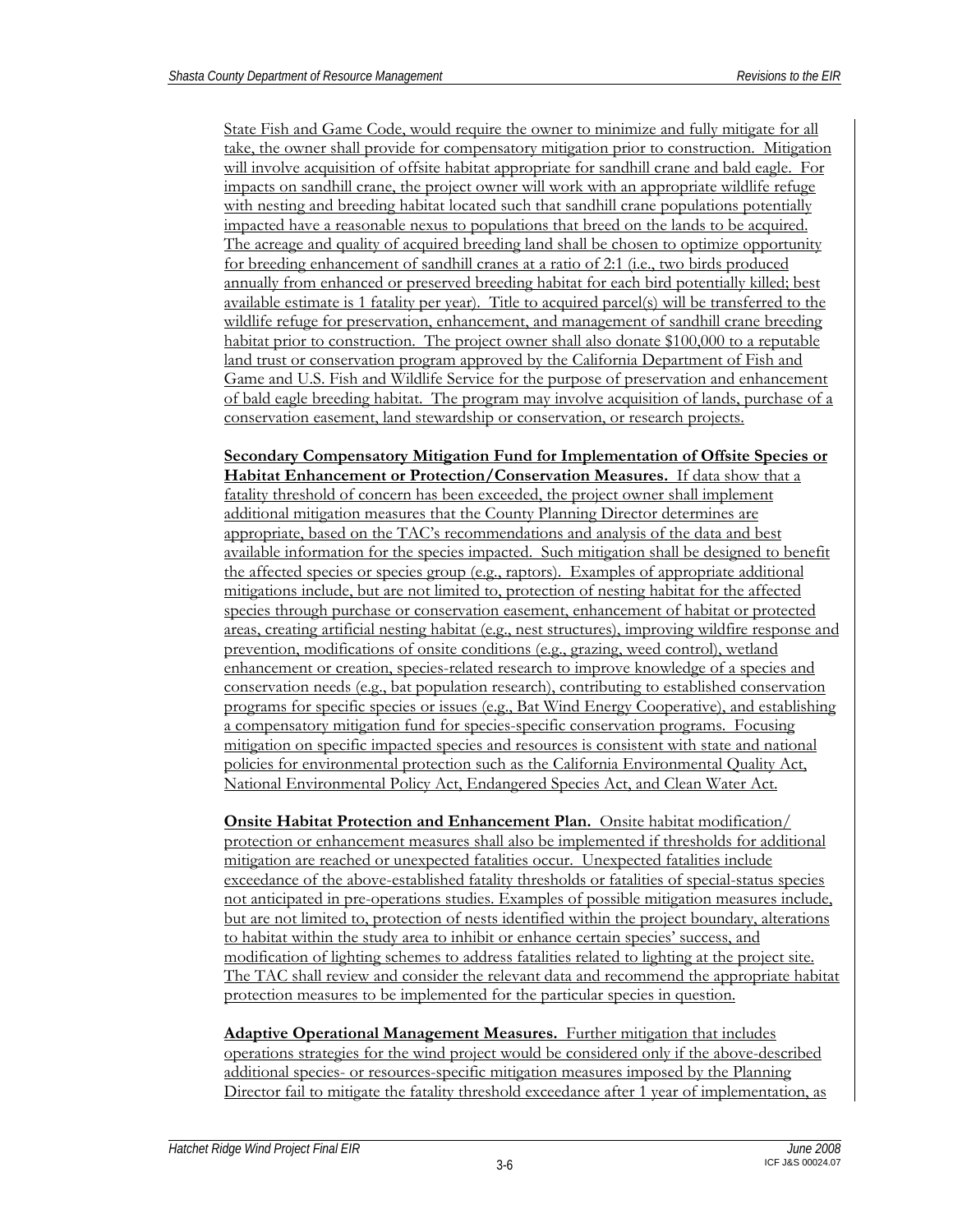State Fish and Game Code, would require the owner to minimize and fully mitigate for all take, the owner shall provide for compensatory mitigation prior to construction. Mitigation will involve acquisition of offsite habitat appropriate for sandhill crane and bald eagle. For impacts on sandhill crane, the project owner will work with an appropriate wildlife refuge with nesting and breeding habitat located such that sandhill crane populations potentially impacted have a reasonable nexus to populations that breed on the lands to be acquired. The acreage and quality of acquired breeding land shall be chosen to optimize opportunity for breeding enhancement of sandhill cranes at a ratio of 2:1 (i.e., two birds produced annually from enhanced or preserved breeding habitat for each bird potentially killed; best available estimate is 1 fatality per year). Title to acquired parcel(s) will be transferred to the wildlife refuge for preservation, enhancement, and management of sandhill crane breeding habitat prior to construction. The project owner shall also donate \$100,000 to a reputable land trust or conservation program approved by the California Department of Fish and Game and U.S. Fish and Wildlife Service for the purpose of preservation and enhancement of bald eagle breeding habitat. The program may involve acquisition of lands, purchase of a conservation easement, land stewardship or conservation, or research projects.

### **Secondary Compensatory Mitigation Fund for Implementation of Offsite Species or Habitat Enhancement or Protection/Conservation Measures.** If data show that a

fatality threshold of concern has been exceeded, the project owner shall implement additional mitigation measures that the County Planning Director determines are appropriate, based on the TAC's recommendations and analysis of the data and best available information for the species impacted. Such mitigation shall be designed to benefit the affected species or species group (e.g., raptors). Examples of appropriate additional mitigations include, but are not limited to, protection of nesting habitat for the affected species through purchase or conservation easement, enhancement of habitat or protected areas, creating artificial nesting habitat (e.g., nest structures), improving wildfire response and prevention, modifications of onsite conditions (e.g., grazing, weed control), wetland enhancement or creation, species-related research to improve knowledge of a species and conservation needs (e.g., bat population research), contributing to established conservation programs for specific species or issues (e.g., Bat Wind Energy Cooperative), and establishing a compensatory mitigation fund for species-specific conservation programs. Focusing mitigation on specific impacted species and resources is consistent with state and national policies for environmental protection such as the California Environmental Quality Act, National Environmental Policy Act, Endangered Species Act, and Clean Water Act.

**Onsite Habitat Protection and Enhancement Plan.** Onsite habitat modification/ protection or enhancement measures shall also be implemented if thresholds for additional mitigation are reached or unexpected fatalities occur. Unexpected fatalities include exceedance of the above-established fatality thresholds or fatalities of special-status species not anticipated in pre-operations studies. Examples of possible mitigation measures include, but are not limited to, protection of nests identified within the project boundary, alterations to habitat within the study area to inhibit or enhance certain species' success, and modification of lighting schemes to address fatalities related to lighting at the project site. The TAC shall review and consider the relevant data and recommend the appropriate habitat protection measures to be implemented for the particular species in question.

**Adaptive Operational Management Measures.** Further mitigation that includes operations strategies for the wind project would be considered only if the above-described additional species- or resources-specific mitigation measures imposed by the Planning Director fail to mitigate the fatality threshold exceedance after 1 year of implementation, as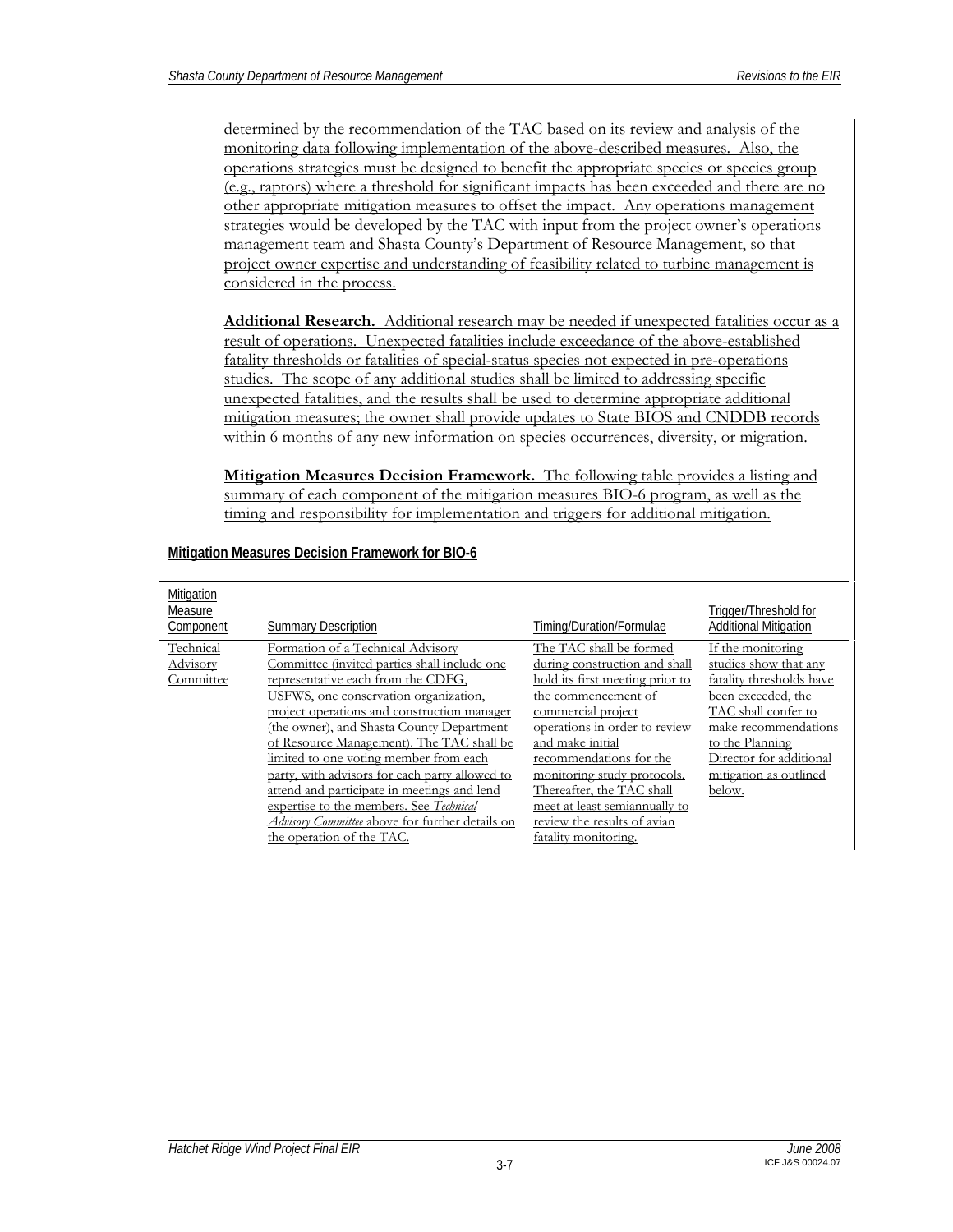determined by the recommendation of the TAC based on its review and analysis of the monitoring data following implementation of the above-described measures. Also, the operations strategies must be designed to benefit the appropriate species or species group (e.g., raptors) where a threshold for significant impacts has been exceeded and there are no other appropriate mitigation measures to offset the impact. Any operations management strategies would be developed by the TAC with input from the project owner's operations management team and Shasta County's Department of Resource Management, so that project owner expertise and understanding of feasibility related to turbine management is considered in the process.

**Additional Research.** Additional research may be needed if unexpected fatalities occur as a result of operations. Unexpected fatalities include exceedance of the above-established fatality thresholds or fatalities of special-status species not expected in pre-operations studies. The scope of any additional studies shall be limited to addressing specific unexpected fatalities, and the results shall be used to determine appropriate additional mitigation measures; the owner shall provide updates to State BIOS and CNDDB records within 6 months of any new information on species occurrences, diversity, or migration.

**Mitigation Measures Decision Framework.** The following table provides a listing and summary of each component of the mitigation measures BIO-6 program, as well as the timing and responsibility for implementation and triggers for additional mitigation.

| Mitigation<br>Measure<br>Component | <b>Summary Description</b>                                                                                                                                                                                                                                                                                                                                                                                                                                                                                                                                                             | Timing/Duration/Formulae                                                                                                                                                                                                                                                                                                                                                     | Trigger/Threshold for<br><b>Additional Mitigation</b>                                                                                                                                                                         |
|------------------------------------|----------------------------------------------------------------------------------------------------------------------------------------------------------------------------------------------------------------------------------------------------------------------------------------------------------------------------------------------------------------------------------------------------------------------------------------------------------------------------------------------------------------------------------------------------------------------------------------|------------------------------------------------------------------------------------------------------------------------------------------------------------------------------------------------------------------------------------------------------------------------------------------------------------------------------------------------------------------------------|-------------------------------------------------------------------------------------------------------------------------------------------------------------------------------------------------------------------------------|
| Technical<br>Advisory<br>Committee | Formation of a Technical Advisory<br>Committee (invited parties shall include one<br>representative each from the CDFG,<br>USFWS, one conservation organization.<br>project operations and construction manager<br>(the owner), and Shasta County Department<br>of Resource Management). The TAC shall be<br>limited to one voting member from each<br>party, with advisors for each party allowed to<br>attend and participate in meetings and lend<br>expertise to the members. See Technical<br><i>Advisory Committee</i> above for further details on<br>the operation of the TAC. | The TAC shall be formed<br>during construction and shall<br>hold its first meeting prior to<br>the commencement of<br>commercial project<br>operations in order to review<br>and make initial<br>recommendations for the<br>monitoring study protocols.<br>Thereafter, the TAC shall<br>meet at least semiannually to<br>review the results of avian<br>fatality monitoring. | If the monitoring<br>studies show that any<br>fatality thresholds have<br>been exceeded, the<br>TAC shall confer to<br>make recommendations<br>to the Planning<br>Director for additional<br>mitigation as outlined<br>below. |

#### **Mitigation Measures Decision Framework for BIO-6**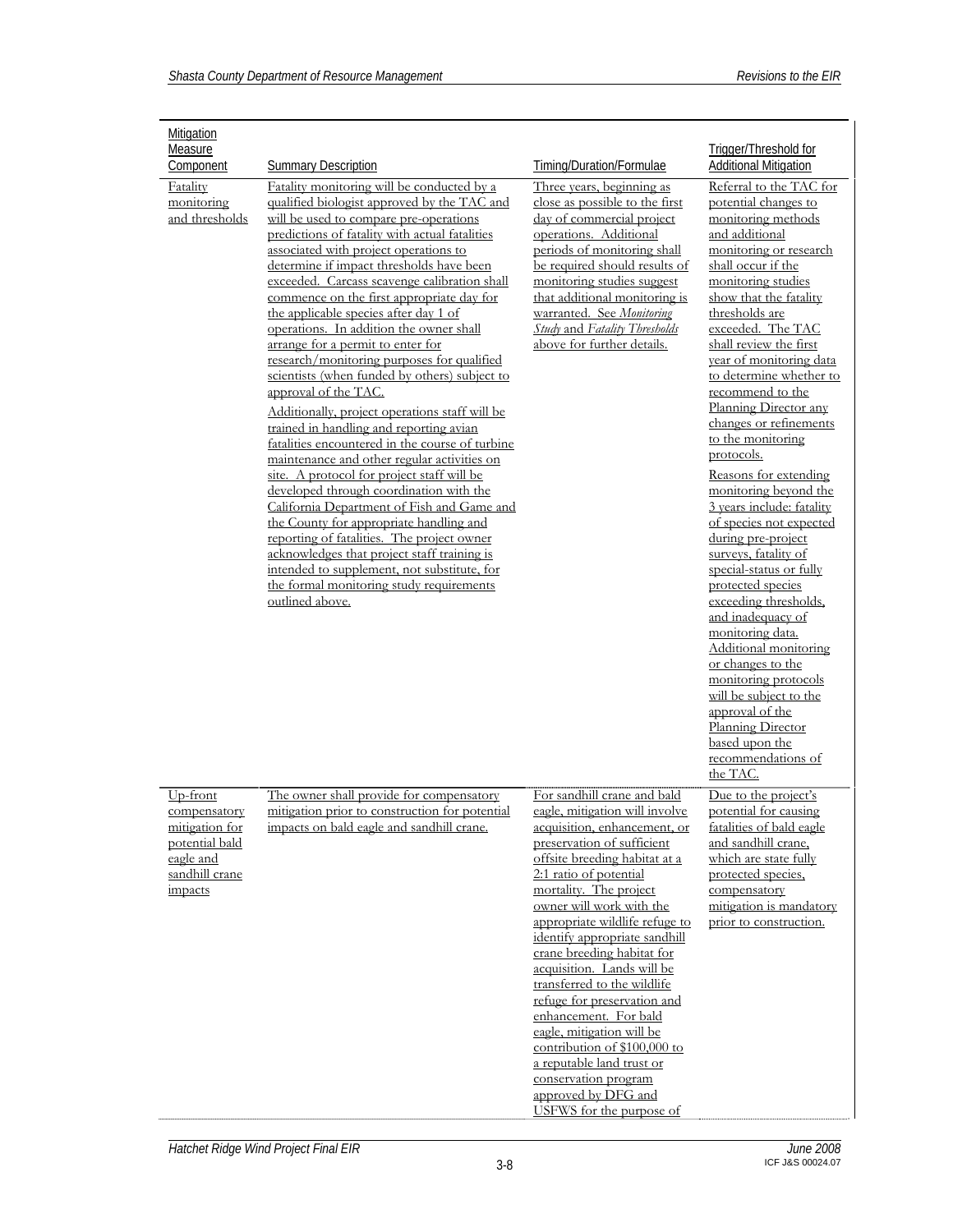| Mitigation<br>Measure                                                                                  |                                                                                                                                                                                                                                                                                                                                                                                                                                                                                                                                                                                                                                                                                                                                                                                                                                                                                                                                                                                                                                                                                                                                                                                                                     |                                                                                                                                                                                                                                                                                                                                                                                                                                                                                                                                                                                                                                         | Trigger/Threshold for                                                                                                                                                                                                                                                                                                                                                                                                                                                                                                                                                                                                                                                                                                                                                                                                                                                                          |
|--------------------------------------------------------------------------------------------------------|---------------------------------------------------------------------------------------------------------------------------------------------------------------------------------------------------------------------------------------------------------------------------------------------------------------------------------------------------------------------------------------------------------------------------------------------------------------------------------------------------------------------------------------------------------------------------------------------------------------------------------------------------------------------------------------------------------------------------------------------------------------------------------------------------------------------------------------------------------------------------------------------------------------------------------------------------------------------------------------------------------------------------------------------------------------------------------------------------------------------------------------------------------------------------------------------------------------------|-----------------------------------------------------------------------------------------------------------------------------------------------------------------------------------------------------------------------------------------------------------------------------------------------------------------------------------------------------------------------------------------------------------------------------------------------------------------------------------------------------------------------------------------------------------------------------------------------------------------------------------------|------------------------------------------------------------------------------------------------------------------------------------------------------------------------------------------------------------------------------------------------------------------------------------------------------------------------------------------------------------------------------------------------------------------------------------------------------------------------------------------------------------------------------------------------------------------------------------------------------------------------------------------------------------------------------------------------------------------------------------------------------------------------------------------------------------------------------------------------------------------------------------------------|
| Component                                                                                              | <b>Summary Description</b>                                                                                                                                                                                                                                                                                                                                                                                                                                                                                                                                                                                                                                                                                                                                                                                                                                                                                                                                                                                                                                                                                                                                                                                          | Timing/Duration/Formulae                                                                                                                                                                                                                                                                                                                                                                                                                                                                                                                                                                                                                | <b>Additional Mitigation</b>                                                                                                                                                                                                                                                                                                                                                                                                                                                                                                                                                                                                                                                                                                                                                                                                                                                                   |
| Fatality<br>monitoring<br>and thresholds                                                               | Fatality monitoring will be conducted by a<br>qualified biologist approved by the TAC and<br>will be used to compare pre-operations<br>predictions of fatality with actual fatalities<br>associated with project operations to<br>determine if impact thresholds have been<br>exceeded. Carcass scavenge calibration shall<br>commence on the first appropriate day for<br>the applicable species after day 1 of<br>operations. In addition the owner shall<br>arrange for a permit to enter for<br>research/monitoring purposes for qualified<br>scientists (when funded by others) subject to<br>approval of the TAC.<br>Additionally, project operations staff will be<br>trained in handling and reporting avian<br>fatalities encountered in the course of turbine<br>maintenance and other regular activities on<br>site. A protocol for project staff will be<br>developed through coordination with the<br>California Department of Fish and Game and<br>the County for appropriate handling and<br>reporting of fatalities. The project owner<br>acknowledges that project staff training is<br>intended to supplement, not substitute, for<br>the formal monitoring study requirements<br>outlined above. | Three years, beginning as<br>close as possible to the first<br>day of commercial project<br>operations. Additional<br>periods of monitoring shall<br>be required should results of<br>monitoring studies suggest<br>that additional monitoring is<br>warranted. See Monitoring<br><b>Study and Fatality Thresholds</b><br>above for further details.                                                                                                                                                                                                                                                                                    | Referral to the TAC for<br>potential changes to<br>monitoring methods<br>and additional<br>monitoring or research<br>shall occur if the<br>monitoring studies<br>show that the fatality<br>thresholds are<br>exceeded. The TAC<br>shall review the first<br>year of monitoring data<br>to determine whether to<br>recommend to the<br>Planning Director any<br>changes or refinements<br>to the monitoring<br>protocols.<br>Reasons for extending<br>monitoring beyond the<br>3 years include: fatality<br>of species not expected<br>during pre-project<br>surveys, fatality of<br>special-status or fully<br>protected species<br>exceeding thresholds,<br>and inadequacy of<br>monitoring data.<br>Additional monitoring<br>or changes to the<br>monitoring protocols<br>will be subject to the<br>approval of the<br>Planning Director<br>based upon the<br>recommendations of<br>the TAC. |
| Up-front<br>compensatory<br>mitigation for<br>potential bald<br>eagle and<br>sandhill crane<br>impacts | The owner shall provide for compensatory<br>mitigation prior to construction for potential<br>impacts on bald eagle and sandhill crane.                                                                                                                                                                                                                                                                                                                                                                                                                                                                                                                                                                                                                                                                                                                                                                                                                                                                                                                                                                                                                                                                             | For sandhill crane and bald<br>eagle, mitigation will involve<br>acquisition, enhancement, or<br>preservation of sufficient<br>offsite breeding habitat at a<br>2:1 ratio of potential<br>mortality. The project<br>owner will work with the<br>appropriate wildlife refuge to<br>identify appropriate sandhill<br>crane breeding habitat for<br>acquisition. Lands will be<br>transferred to the wildlife<br>refuge for preservation and<br>enhancement. For bald<br>eagle, mitigation will be<br>contribution of \$100,000 to<br>a reputable land trust or<br>conservation program<br>approved by DFG and<br>USFWS for the purpose of | Due to the project's<br>potential for causing<br>fatalities of bald eagle<br>and sandhill crane,<br>which are state fully<br>protected species.<br>compensatory<br>mitigation is mandatory<br>prior to construction.                                                                                                                                                                                                                                                                                                                                                                                                                                                                                                                                                                                                                                                                           |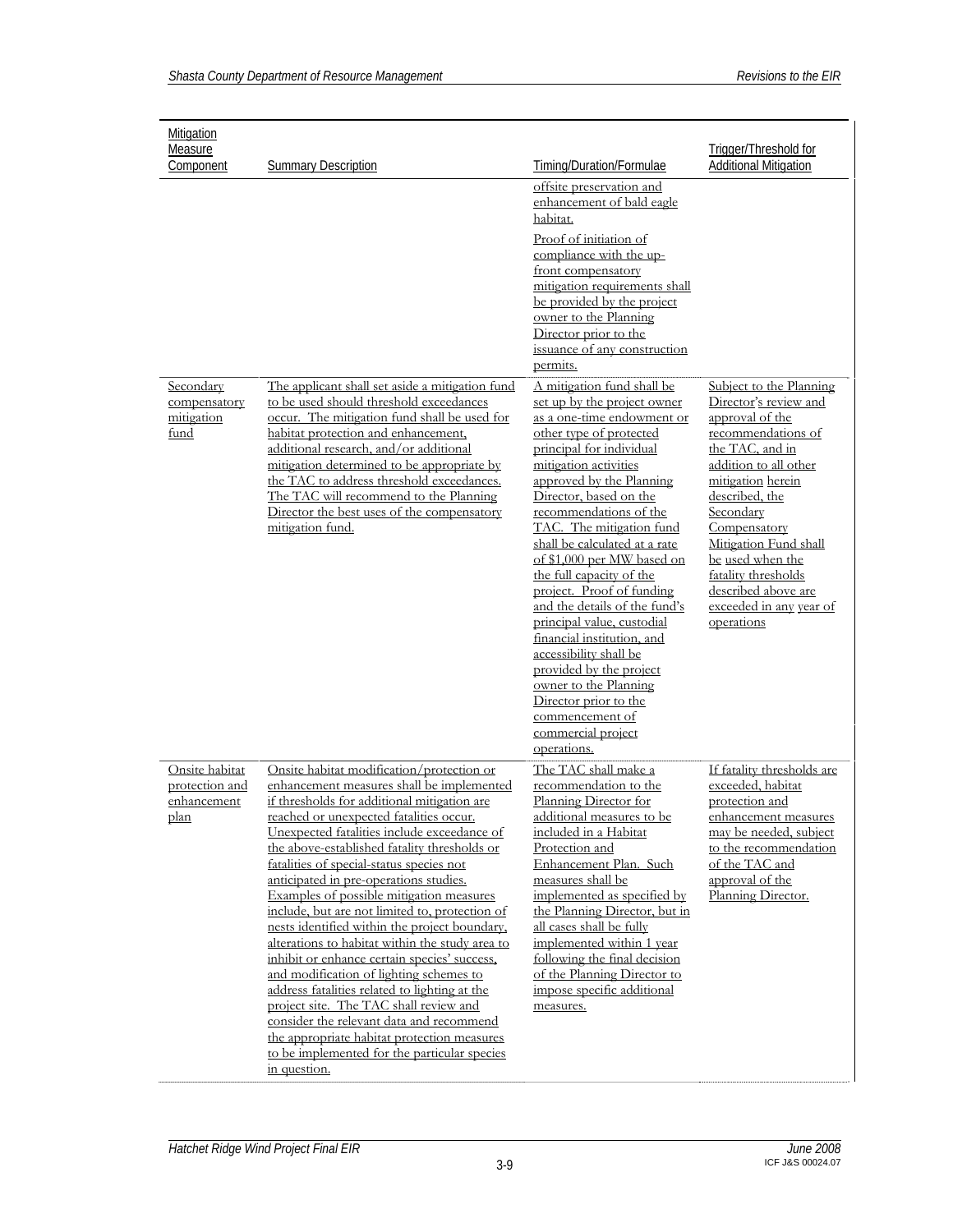| <b>Mitigation</b><br>Measure                            |                                                                                                                                                                                                                                                                                                                                                                                                                                                                                                                                                                                                                                                                                                                                                                                                                                                                                                                          |                                                                                                                                                                                                                                                                                                                                                                                                                                                                                                                                                                                                                                           | Trigger/Threshold for                                                                                                                                                                                                                                                                                              |
|---------------------------------------------------------|--------------------------------------------------------------------------------------------------------------------------------------------------------------------------------------------------------------------------------------------------------------------------------------------------------------------------------------------------------------------------------------------------------------------------------------------------------------------------------------------------------------------------------------------------------------------------------------------------------------------------------------------------------------------------------------------------------------------------------------------------------------------------------------------------------------------------------------------------------------------------------------------------------------------------|-------------------------------------------------------------------------------------------------------------------------------------------------------------------------------------------------------------------------------------------------------------------------------------------------------------------------------------------------------------------------------------------------------------------------------------------------------------------------------------------------------------------------------------------------------------------------------------------------------------------------------------------|--------------------------------------------------------------------------------------------------------------------------------------------------------------------------------------------------------------------------------------------------------------------------------------------------------------------|
| Component                                               | <b>Summary Description</b>                                                                                                                                                                                                                                                                                                                                                                                                                                                                                                                                                                                                                                                                                                                                                                                                                                                                                               | Timing/Duration/Formulae                                                                                                                                                                                                                                                                                                                                                                                                                                                                                                                                                                                                                  | <b>Additional Mitigation</b>                                                                                                                                                                                                                                                                                       |
| Secondary                                               | The applicant shall set aside a mitigation fund                                                                                                                                                                                                                                                                                                                                                                                                                                                                                                                                                                                                                                                                                                                                                                                                                                                                          | offsite preservation and<br>enhancement of bald eagle<br>habitat.<br>Proof of initiation of<br>compliance with the up-<br>front compensatory<br>mitigation requirements shall<br>be provided by the project<br>owner to the Planning<br>Director prior to the<br>issuance of any construction<br>permits.<br>A mitigation fund shall be                                                                                                                                                                                                                                                                                                   | Subject to the Planning                                                                                                                                                                                                                                                                                            |
| compensatory<br>mitigation<br>fund                      | to be used should threshold exceedances<br>occur. The mitigation fund shall be used for<br>habitat protection and enhancement,<br>additional research, and/or additional<br>mitigation determined to be appropriate by<br>the TAC to address threshold exceedances.<br>The TAC will recommend to the Planning<br>Director the best uses of the compensatory<br>mitigation fund.                                                                                                                                                                                                                                                                                                                                                                                                                                                                                                                                          | set up by the project owner<br>as a one-time endowment or<br>other type of protected<br>principal for individual<br>mitigation activities<br>approved by the Planning<br>Director, based on the<br>recommendations of the<br>TAC. The mitigation fund<br>shall be calculated at a rate<br>of \$1,000 per MW based on<br>the full capacity of the<br>project. Proof of funding<br>and the details of the fund's<br>principal value, custodial<br>financial institution, and<br>accessibility shall be<br>provided by the project<br>owner to the Planning<br>Director prior to the<br>commencement of<br>commercial project<br>operations. | Director's review and<br>approval of the<br>recommendations of<br>the TAC, and in<br>addition to all other<br>mitigation herein<br>described, the<br>Secondary<br>Compensatory<br>Mitigation Fund shall<br>be used when the<br>fatality thresholds<br>described above are<br>exceeded in any year of<br>operations |
| Onsite habitat<br>protection and<br>enhancement<br>plan | Onsite habitat modification/protection or<br>enhancement measures shall be implemented<br>if thresholds for additional mitigation are<br>reached or unexpected fatalities occur.<br>Unexpected fatalities include exceedance of<br>the above-established fatality thresholds or<br>fatalities of special-status species not<br>anticipated in pre-operations studies.<br>Examples of possible mitigation measures<br>include, but are not limited to, protection of<br>nests identified within the project boundary,<br>alterations to habitat within the study area to<br>inhibit or enhance certain species' success,<br>and modification of lighting schemes to<br>address fatalities related to lighting at the<br>project site. The TAC shall review and<br>consider the relevant data and recommend<br>the appropriate habitat protection measures<br>to be implemented for the particular species<br>in question. | The TAC shall make a<br>recommendation to the<br>Planning Director for<br>additional measures to be<br>included in a Habitat<br>Protection and<br>Enhancement Plan. Such<br>measures shall be<br>implemented as specified by<br>the Planning Director, but in<br>all cases shall be fully<br>implemented within 1 year<br>following the final decision<br>of the Planning Director to<br>impose specific additional<br>measures.                                                                                                                                                                                                          | If fatality thresholds are<br>exceeded, habitat<br>protection and<br>enhancement measures<br>may be needed, subject<br>to the recommendation<br>of the TAC and<br>approval of the<br>Planning Director.                                                                                                            |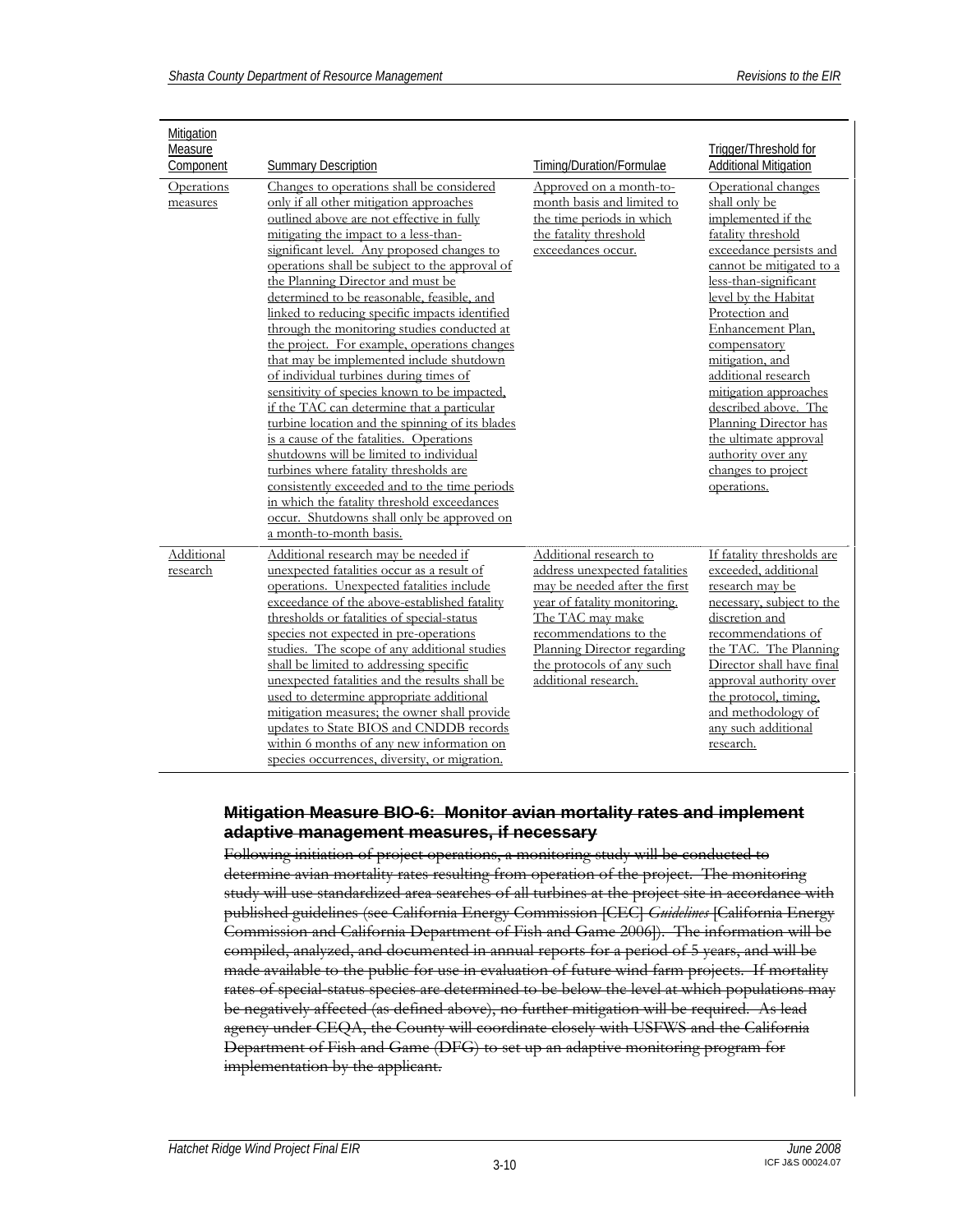| Mitigation             |                                                                                                                                                                                                                                                                                                                                                                                                                                                                                                                                                                                                                                                                                                                                                                                                                                                                                                                                                                                                                                                                 |                                                                                                                                                                                                                                                            |                                                                                                                                                                                                                                                                                                                                                                                                                                                         |
|------------------------|-----------------------------------------------------------------------------------------------------------------------------------------------------------------------------------------------------------------------------------------------------------------------------------------------------------------------------------------------------------------------------------------------------------------------------------------------------------------------------------------------------------------------------------------------------------------------------------------------------------------------------------------------------------------------------------------------------------------------------------------------------------------------------------------------------------------------------------------------------------------------------------------------------------------------------------------------------------------------------------------------------------------------------------------------------------------|------------------------------------------------------------------------------------------------------------------------------------------------------------------------------------------------------------------------------------------------------------|---------------------------------------------------------------------------------------------------------------------------------------------------------------------------------------------------------------------------------------------------------------------------------------------------------------------------------------------------------------------------------------------------------------------------------------------------------|
| Measure                |                                                                                                                                                                                                                                                                                                                                                                                                                                                                                                                                                                                                                                                                                                                                                                                                                                                                                                                                                                                                                                                                 |                                                                                                                                                                                                                                                            | Trigger/Threshold for                                                                                                                                                                                                                                                                                                                                                                                                                                   |
| Component              | <b>Summary Description</b>                                                                                                                                                                                                                                                                                                                                                                                                                                                                                                                                                                                                                                                                                                                                                                                                                                                                                                                                                                                                                                      | Timing/Duration/Formulae                                                                                                                                                                                                                                   | Additional Mitigation                                                                                                                                                                                                                                                                                                                                                                                                                                   |
| Operations<br>measures | Changes to operations shall be considered<br>only if all other mitigation approaches<br>outlined above are not effective in fully<br>mitigating the impact to a less-than-<br>significant level. Any proposed changes to<br>operations shall be subject to the approval of<br>the Planning Director and must be<br>determined to be reasonable, feasible, and<br>linked to reducing specific impacts identified<br>through the monitoring studies conducted at<br>the project. For example, operations changes<br>that may be implemented include shutdown<br>of individual turbines during times of<br>sensitivity of species known to be impacted,<br>if the TAC can determine that a particular<br>turbine location and the spinning of its blades<br>is a cause of the fatalities. Operations<br>shutdowns will be limited to individual<br>turbines where fatality thresholds are<br>consistently exceeded and to the time periods<br>in which the fatality threshold exceedances<br>occur. Shutdowns shall only be approved on<br>a month-to-month basis. | Approved on a month-to-<br>month basis and limited to<br>the time periods in which<br>the fatality threshold<br>exceedances occur.                                                                                                                         | Operational changes<br>shall only be<br>implemented if the<br>fatality threshold<br>exceedance persists and<br>cannot be mitigated to a<br>less-than-significant<br>level by the Habitat<br>Protection and<br>Enhancement Plan,<br>compensatory<br>mitigation, and<br>additional research<br>mitigation approaches<br>described above. The<br>Planning Director has<br>the ultimate approval<br>authority over any<br>changes to project<br>operations. |
| Additional<br>research | Additional research may be needed if<br>unexpected fatalities occur as a result of<br>operations. Unexpected fatalities include<br>exceedance of the above-established fatality<br>thresholds or fatalities of special-status<br>species not expected in pre-operations<br>studies. The scope of any additional studies<br>shall be limited to addressing specific<br>unexpected fatalities and the results shall be<br>used to determine appropriate additional<br>mitigation measures; the owner shall provide<br>updates to State BIOS and CNDDB records<br>within 6 months of any new information on<br>species occurrences, diversity, or migration.                                                                                                                                                                                                                                                                                                                                                                                                       | Additional research to<br>address unexpected fatalities<br>may be needed after the first<br>year of fatality monitoring.<br>The TAC may make<br>recommendations to the<br>Planning Director regarding<br>the protocols of any such<br>additional research. | If fatality thresholds are<br>exceeded, additional<br>research may be<br>necessary, subject to the<br>discretion and<br>recommendations of<br>the TAC. The Planning<br>Director shall have final<br>approval authority over<br>the protocol, timing,<br>and methodology of<br>any such additional<br>research.                                                                                                                                          |

#### **Mitigation Measure BIO-6: Monitor avian mortality rates and implement adaptive management measures, if necessary**

Following initiation of project operations, a monitoring study will be conducted to determine avian mortality rates resulting from operation of the project. The monitoring study will use standardized area searches of all turbines at the project site in accordance with published guidelines (see California Energy Commission [CEC] *Guidelines* [California Energy Commission and California Department of Fish and Game 2006]). The information will be compiled, analyzed, and documented in annual reports for a period of 5 years, and will be made available to the public for use in evaluation of future wind farm projects. If mortality rates of special-status species are determined to be below the level at which populations may be negatively affected (as defined above), no further mitigation will be required. As lead agency under CEQA, the County will coordinate closely with USFWS and the California Department of Fish and Game (DFG) to set up an adaptive monitoring program for implementation by the applicant.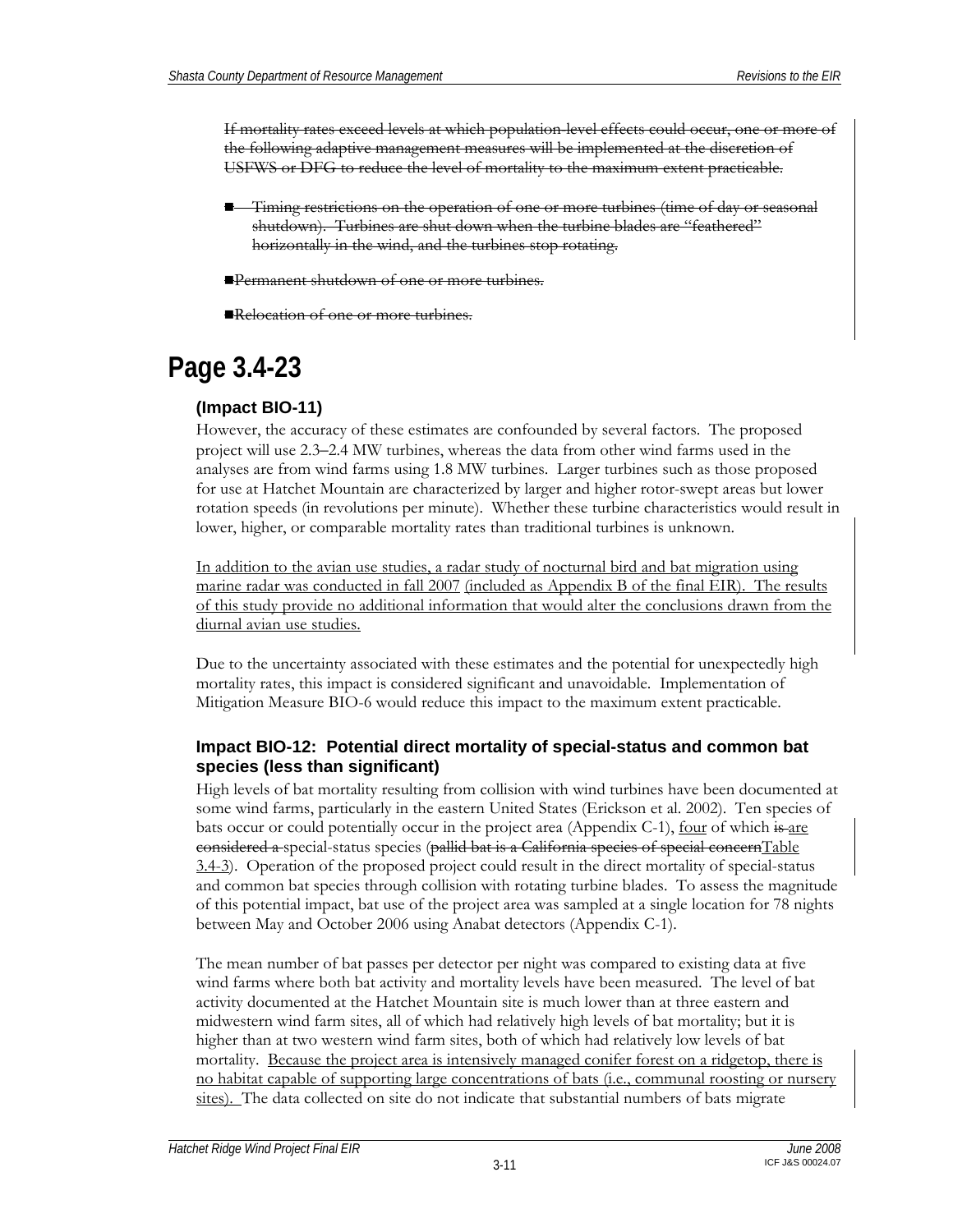If mortality rates exceed levels at which population-level effects could occur, one or more of the following adaptive management measures will be implemented at the discretion of USFWS or DFG to reduce the level of mortality to the maximum extent practicable.

 Timing restrictions on the operation of one or more turbines (time of day or seasonal shutdown). Turbines are shut down when the turbine blades are "feathered" horizontally in the wind, and the turbines stop rotating.

Permanent shutdown of one or more turbines.

Relocation of one or more turbines.

## **Page 3.4-23**

### **(Impact BIO-11)**

However, the accuracy of these estimates are confounded by several factors. The proposed project will use 2.3–2.4 MW turbines, whereas the data from other wind farms used in the analyses are from wind farms using 1.8 MW turbines. Larger turbines such as those proposed for use at Hatchet Mountain are characterized by larger and higher rotor-swept areas but lower rotation speeds (in revolutions per minute). Whether these turbine characteristics would result in lower, higher, or comparable mortality rates than traditional turbines is unknown.

In addition to the avian use studies, a radar study of nocturnal bird and bat migration using marine radar was conducted in fall 2007 (included as Appendix B of the final EIR). The results of this study provide no additional information that would alter the conclusions drawn from the diurnal avian use studies.

Due to the uncertainty associated with these estimates and the potential for unexpectedly high mortality rates, this impact is considered significant and unavoidable. Implementation of Mitigation Measure BIO-6 would reduce this impact to the maximum extent practicable.

### **Impact BIO-12: Potential direct mortality of special-status and common bat species (less than significant)**

High levels of bat mortality resulting from collision with wind turbines have been documented at some wind farms, particularly in the eastern United States (Erickson et al. 2002). Ten species of bats occur or could potentially occur in the project area (Appendix C-1), four of which is are considered a special-status species (pallid bat is a California species of special concernTable 3.4-3). Operation of the proposed project could result in the direct mortality of special-status and common bat species through collision with rotating turbine blades. To assess the magnitude of this potential impact, bat use of the project area was sampled at a single location for 78 nights between May and October 2006 using Anabat detectors (Appendix C-1).

The mean number of bat passes per detector per night was compared to existing data at five wind farms where both bat activity and mortality levels have been measured. The level of bat activity documented at the Hatchet Mountain site is much lower than at three eastern and midwestern wind farm sites, all of which had relatively high levels of bat mortality; but it is higher than at two western wind farm sites, both of which had relatively low levels of bat mortality. Because the project area is intensively managed conifer forest on a ridgetop, there is no habitat capable of supporting large concentrations of bats (i.e., communal roosting or nursery sites). The data collected on site do not indicate that substantial numbers of bats migrate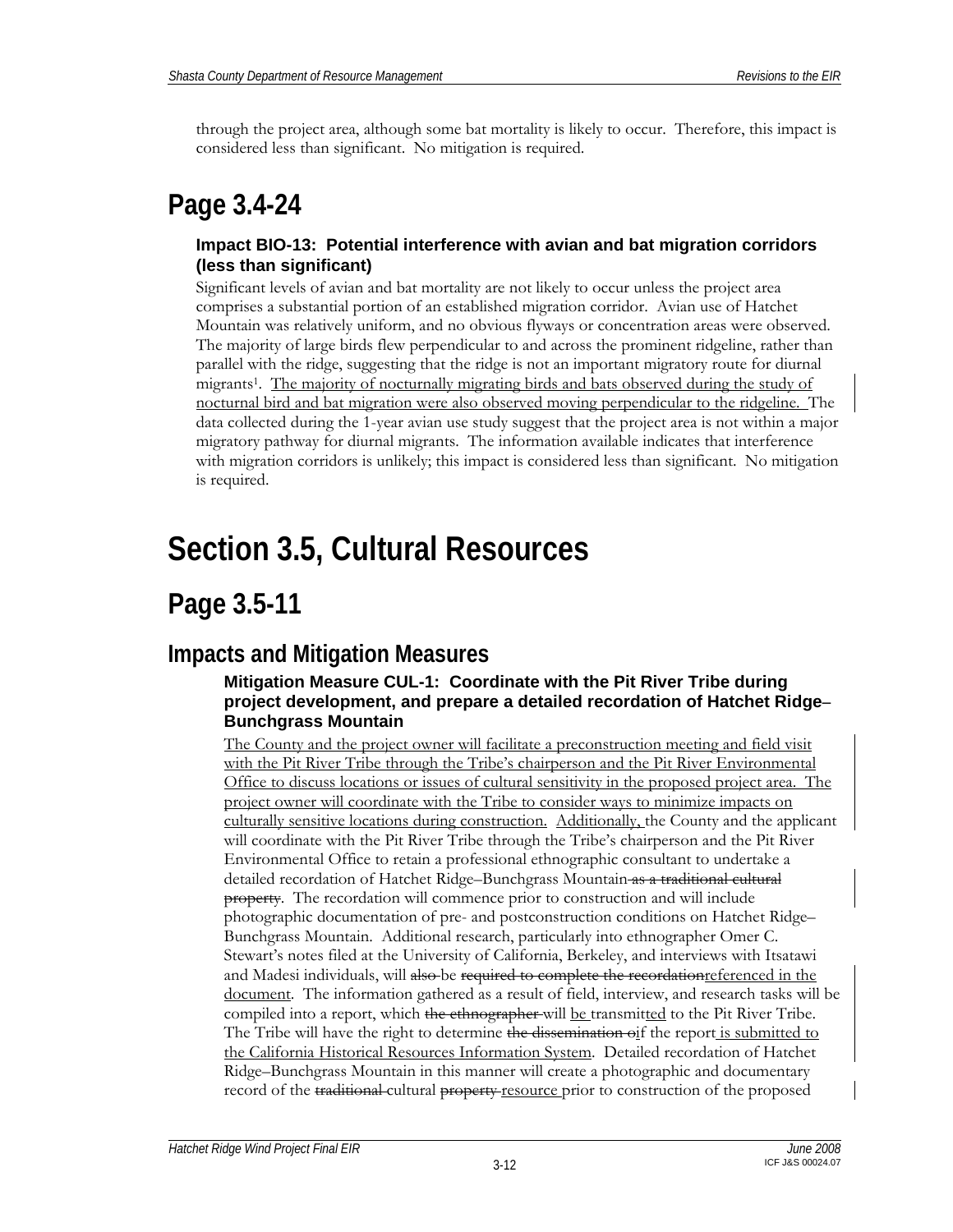through the project area, although some bat mortality is likely to occur. Therefore, this impact is considered less than significant. No mitigation is required.

### **Page 3.4-24**

### **Impact BIO-13: Potential interference with avian and bat migration corridors (less than significant)**

Significant levels of avian and bat mortality are not likely to occur unless the project area comprises a substantial portion of an established migration corridor. Avian use of Hatchet Mountain was relatively uniform, and no obvious flyways or concentration areas were observed. The majority of large birds flew perpendicular to and across the prominent ridgeline, rather than parallel with the ridge, suggesting that the ridge is not an important migratory route for diurnal migrants1. The majority of nocturnally migrating birds and bats observed during the study of nocturnal bird and bat migration were also observed moving perpendicular to the ridgeline. The data collected during the 1-year avian use study suggest that the project area is not within a major migratory pathway for diurnal migrants. The information available indicates that interference with migration corridors is unlikely; this impact is considered less than significant. No mitigation is required.

# **Section 3.5, Cultural Resources**

## **Page 3.5-11**

### **Impacts and Mitigation Measures**

### **Mitigation Measure CUL-1: Coordinate with the Pit River Tribe during project development, and prepare a detailed recordation of Hatchet Ridge– Bunchgrass Mountain**

The County and the project owner will facilitate a preconstruction meeting and field visit with the Pit River Tribe through the Tribe's chairperson and the Pit River Environmental Office to discuss locations or issues of cultural sensitivity in the proposed project area. The project owner will coordinate with the Tribe to consider ways to minimize impacts on culturally sensitive locations during construction. Additionally, the County and the applicant will coordinate with the Pit River Tribe through the Tribe's chairperson and the Pit River Environmental Office to retain a professional ethnographic consultant to undertake a detailed recordation of Hatchet Ridge–Bunchgrass Mountain as a traditional cultural property. The recordation will commence prior to construction and will include photographic documentation of pre- and postconstruction conditions on Hatchet Ridge– Bunchgrass Mountain. Additional research, particularly into ethnographer Omer C. Stewart's notes filed at the University of California, Berkeley, and interviews with Itsatawi and Madesi individuals, will also be required to complete the recordation referenced in the document. The information gathered as a result of field, interview, and research tasks will be compiled into a report, which the ethnographer will be transmitted to the Pit River Tribe. The Tribe will have the right to determine the dissemination oif the report is submitted to the California Historical Resources Information System. Detailed recordation of Hatchet Ridge–Bunchgrass Mountain in this manner will create a photographic and documentary record of the traditional cultural property resource prior to construction of the proposed